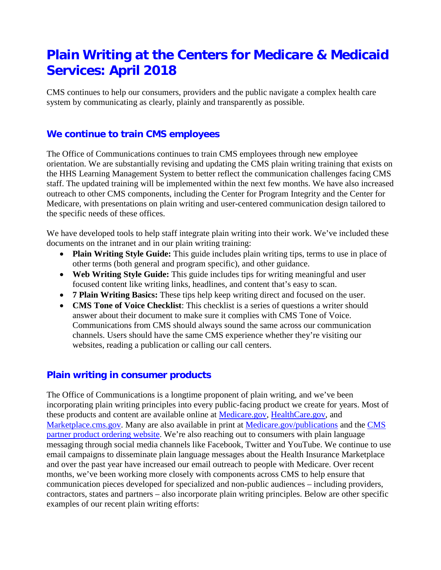# **Plain Writing at the Centers for Medicare & Medicaid Services: April 2018**

CMS continues to help our consumers, providers and the public navigate a complex health care system by communicating as clearly, plainly and transparently as possible.

## **We continue to train CMS employees**

The Office of Communications continues to train CMS employees through new employee orientation. We are substantially revising and updating the CMS plain writing training that exists on the HHS Learning Management System to better reflect the communication challenges facing CMS staff. The updated training will be implemented within the next few months. We have also increased outreach to other CMS components, including the Center for Program Integrity and the Center for Medicare, with presentations on plain writing and user-centered communication design tailored to the specific needs of these offices.

We have developed tools to help staff integrate plain writing into their work. We've included these documents on the intranet and in our plain writing training:

- **Plain Writing Style Guide:** This guide includes plain writing tips, terms to use in place of other terms (both general and program specific), and other guidance.
- **Web Writing Style Guide:** This guide includes tips for writing meaningful and user focused content like writing links, headlines, and content that's easy to scan.
- **7 Plain Writing Basics:** These tips help keep writing direct and focused on the user.
- **CMS Tone of Voice Checklist**: This checklist is a series of questions a writer should answer about their document to make sure it complies with CMS Tone of Voice. Communications from CMS should always sound the same across our communication channels. Users should have the same CMS experience whether they're visiting our websites, reading a publication or calling our call centers.

## **Plain writing in consumer products**

The Office of Communications is a longtime proponent of plain writing, and we've been incorporating plain writing principles into every public-facing product we create for years. Most of these products and content are available online at [Medicare.gov,](http://www.medicare.gov/) [HealthCare.gov,](http://www.healthcare.gov/) and [Marketplace.cms.gov.](http://www.marketplace.cms.gov/) Many are also available in print at [Medicare.gov/publications](http://www.medicare.gov/publications) and the CMS [partner product ordering website.](http://productordering.cms.hhs.gov/) We're also reaching out to consumers with plain language messaging through social media channels like Facebook, Twitter and YouTube. We continue to use email campaigns to disseminate plain language messages about the Health Insurance Marketplace and over the past year have increased our email outreach to people with Medicare. Over recent months, we've been working more closely with components across CMS to help ensure that communication pieces developed for specialized and non-public audiences – including providers, contractors, states and partners – also incorporate plain writing principles. Below are other specific examples of our recent plain writing efforts: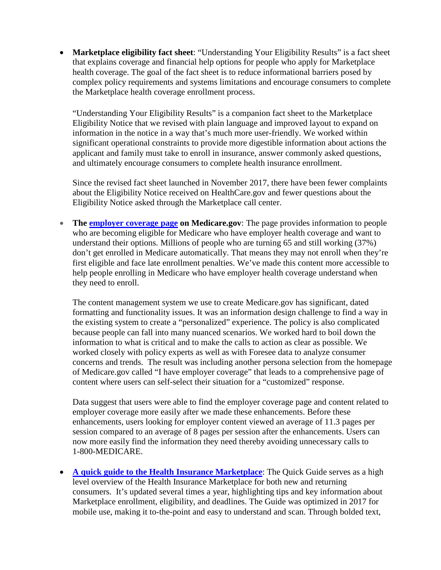• **Marketplace eligibility fact sheet**: "Understanding Your Eligibility Results" is a fact sheet that explains coverage and financial help options for people who apply for Marketplace health coverage. The goal of the fact sheet is to reduce informational barriers posed by complex policy requirements and systems limitations and encourage consumers to complete the Marketplace health coverage enrollment process.

"Understanding Your Eligibility Results" is a companion fact sheet to the Marketplace Eligibility Notice that we revised with plain language and improved layout to expand on information in the notice in a way that's much more user-friendly. We worked within significant operational constraints to provide more digestible information about actions the applicant and family must take to enroll in insurance, answer commonly asked questions, and ultimately encourage consumers to complete health insurance enrollment.

Since the revised fact sheet launched in November 2017, there have been fewer complaints about the Eligibility Notice received on HealthCare.gov and fewer questions about the Eligibility Notice asked through the Marketplace call center.

• **The [employer coverage page](https://www.medicare.gov/sign-up-change-plans/get-parts-a-and-b/employer-coverage/i-have-employer-coverage.html#collapse-5568) on Medicare.gov**: The page provides information to people who are becoming eligible for Medicare who have employer health coverage and want to understand their options. Millions of people who are turning 65 and still working (37%) don't get enrolled in Medicare automatically. That means they may not enroll when they're first eligible and face late enrollment penalties. We've made this content more accessible to help people enrolling in Medicare who have employer health coverage understand when they need to enroll.

The content management system we use to create Medicare.gov has significant, dated formatting and functionality issues. It was an information design challenge to find a way in the existing system to create a "personalized" experience. The policy is also complicated because people can fall into many nuanced scenarios. We worked hard to boil down the information to what is critical and to make the calls to action as clear as possible. We worked closely with policy experts as well as with Foresee data to analyze consumer concerns and trends. The result was including another persona selection from the homepage of Medicare.gov called "I have employer coverage" that leads to a comprehensive page of content where users can self-select their situation for a "customized" response.

 Data suggest that users were able to find the employer coverage page and content related to employer coverage more easily after we made these enhancements. Before these enhancements, users looking for employer content viewed an average of 11.3 pages per session compared to an average of 8 pages per session after the enhancements. Users can now more easily find the information they need thereby avoiding unnecessary calls to 1-800-MEDICARE.

• **[A quick guide to the Health Insurance Marketplace](https://www.healthcare.gov/quick-guide/one-page-guide-to-the-marketplace/)**: The Quick Guide serves as a high level overview of the Health Insurance Marketplace for both new and returning consumers. It's updated several times a year, highlighting tips and key information about Marketplace enrollment, eligibility, and deadlines. The Guide was optimized in 2017 for mobile use, making it to-the-point and easy to understand and scan. Through bolded text,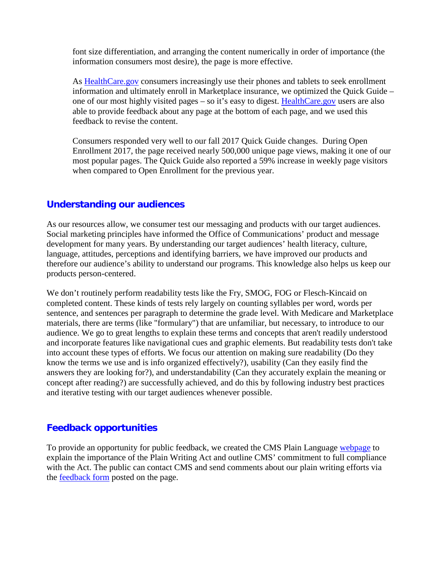font size differentiation, and arranging the content numerically in order of importance (the information consumers most desire), the page is more effective.

As [HealthCare.gov](http://www.healthcare.gov/) consumers increasingly use their phones and tablets to seek enrollment information and ultimately enroll in Marketplace insurance, we optimized the Quick Guide – one of our most highly visited pages – so it's easy to digest. [HealthCare.gov](http://www.healthcare.gov/) users are also able to provide feedback about any page at the bottom of each page, and we used this feedback to revise the content.

Consumers responded very well to our fall 2017 Quick Guide changes. During Open Enrollment 2017, the page received nearly 500,000 unique page views, making it one of our most popular pages. The Quick Guide also reported a 59% increase in weekly page visitors when compared to Open Enrollment for the previous year.

### **Understanding our audiences**

As our resources allow, we consumer test our messaging and products with our target audiences. Social marketing principles have informed the Office of Communications' product and message development for many years. By understanding our target audiences' health literacy, culture, language, attitudes, perceptions and identifying barriers, we have improved our products and therefore our audience's ability to understand our programs. This knowledge also helps us keep our products person-centered.

We don't routinely perform readability tests like the Fry, SMOG, FOG or Flesch-Kincaid on completed content. These kinds of tests rely largely on counting syllables per word, words per sentence, and sentences per paragraph to determine the grade level. With Medicare and Marketplace materials, there are terms (like "formulary") that are unfamiliar, but necessary, to introduce to our audience. We go to great lengths to explain these terms and concepts that aren't readily understood and incorporate features like navigational cues and graphic elements. But readability tests don't take into account these types of efforts. We focus our attention on making sure readability (Do they know the terms we use and is info organized effectively?), usability (Can they easily find the answers they are looking for?), and understandability (Can they accurately explain the meaning or concept after reading?) are successfully achieved, and do this by following industry best practices and iterative testing with our target audiences whenever possible.

#### **Feedback opportunities**

To provide an opportunity for public feedback, we created the CMS Plain Language [webpage](http://medicare.gov/about-us/plain-writing/plain-writing.html) to explain the importance of the Plain Writing Act and outline CMS' commitment to full compliance with the Act. The public can contact CMS and send comments about our plain writing efforts via the [feedback form](http://medicare.gov/plain-language.html) posted on the page.